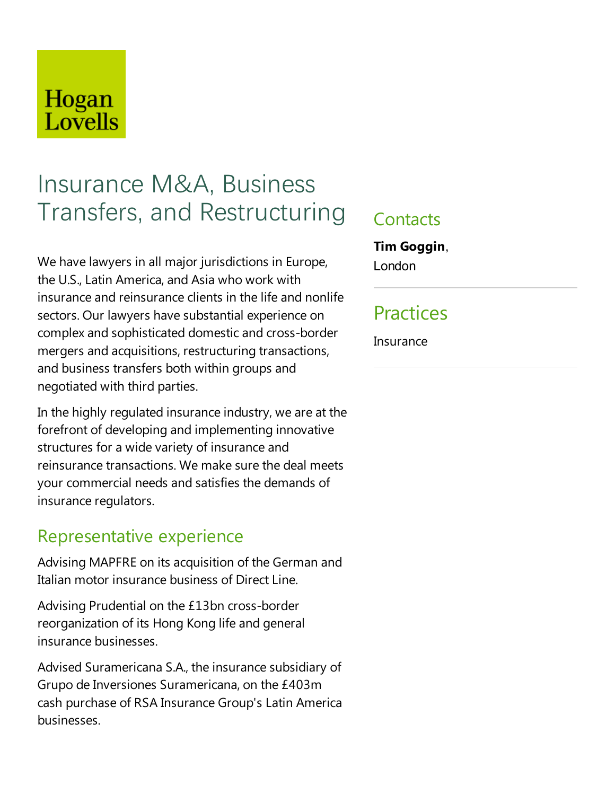## Hogan Lovells

# Insurance M&A, Business Transfers, and Restructuring

We have lawyers in all major jurisdictions in Europe, the U.S., Latin America, and Asia who work with insurance and reinsurance clients in the life and nonlife sectors. Our lawyers have substantial experience on complex and sophisticated domestic and cross-border mergers and acquisitions, restructuring transactions, and business transfers both within groups and negotiated with third parties.

In the highly regulated insurance industry, we are at the forefront of developing and implementing innovative structures for a wide variety of insurance and reinsurance transactions. We make sure the deal meets your commercial needs and satisfies the demands of insurance regulators.

#### Representative experience

Advising MAPFRE on its acquisition of the German and Italian motor insurance business of Direct Line.

Advising Prudential on the £13bn cross-border reorganization of its Hong Kong life and general insurance businesses.

Advised Suramericana S.A., the insurance subsidiary of Grupo de Inversiones Suramericana, on the £403m cash purchase of RSA Insurance Group's Latin America businesses.

#### **Contacts**

**Tim Goggin**, London

## Practices

**Insurance**